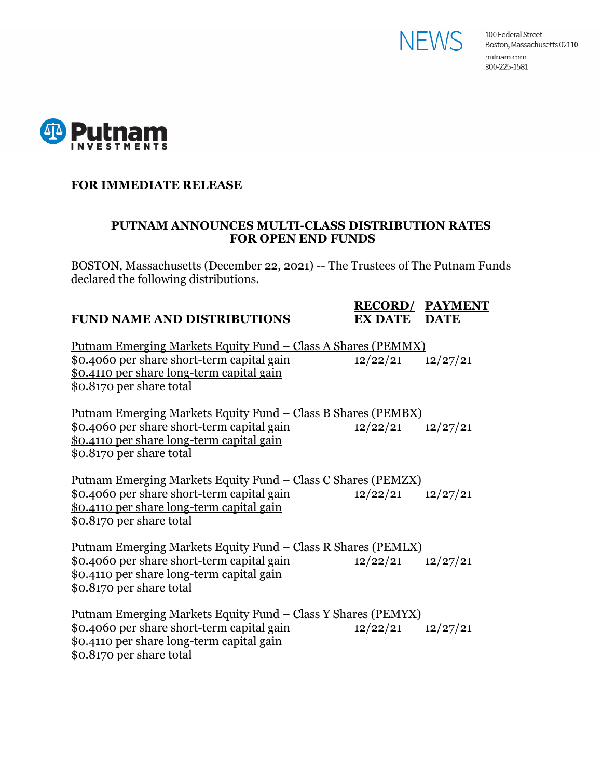



#### **FOR IMMEDIATE RELEASE**

#### **PUTNAM ANNOUNCES MULTI-CLASS DISTRIBUTION RATES FOR OPEN END FUNDS**

BOSTON, Massachusetts (December 22, 2021) -- The Trustees of The Putnam Funds declared the following distributions.

### **FUND NAME AND DISTRIBUTIONS**

# **RECORD/ PAYMENT**

| <u> Putnam Emerging Markets Equity Fund – Class A Shares (PEMMX)</u> |                       |          |
|----------------------------------------------------------------------|-----------------------|----------|
| \$0.4060 per share short-term capital gain                           | 12/22/21              | 12/27/21 |
| \$0.4110 per share long-term capital gain                            |                       |          |
| \$0.8170 per share total                                             |                       |          |
|                                                                      |                       |          |
| <u> Putnam Emerging Markets Equity Fund – Class B Shares (PEMBX)</u> |                       |          |
| \$0.4060 per share short-term capital gain                           | $12/22/21$ $12/27/21$ |          |
| \$0.4110 per share long-term capital gain                            |                       |          |
| \$0.8170 per share total                                             |                       |          |
|                                                                      |                       |          |
| <u> Putnam Emerging Markets Equity Fund – Class C Shares (PEMZX)</u> |                       |          |
| \$0.4060 per share short-term capital gain                           | $12/22/21$ $12/27/21$ |          |
| <u>\$0.4110 per share long-term capital gain</u>                     |                       |          |
| \$0.8170 per share total                                             |                       |          |
|                                                                      |                       |          |
| <u> Putnam Emerging Markets Equity Fund – Class R Shares (PEMLX)</u> |                       |          |
| \$0.4060 per share short-term capital gain                           | $12/22/21$ $12/27/21$ |          |
| \$0.4110 per share long-term capital gain                            |                       |          |
| \$0.8170 per share total                                             |                       |          |
|                                                                      |                       |          |
| <u> Putnam Emerging Markets Equity Fund – Class Y Shares (PEMYX)</u> |                       |          |
| \$0.4060 per share short-term capital gain                           | $12/22/21$ $12/27/21$ |          |
| \$0.4110 per share long-term capital gain                            |                       |          |
| \$0.8170 per share total                                             |                       |          |
|                                                                      |                       |          |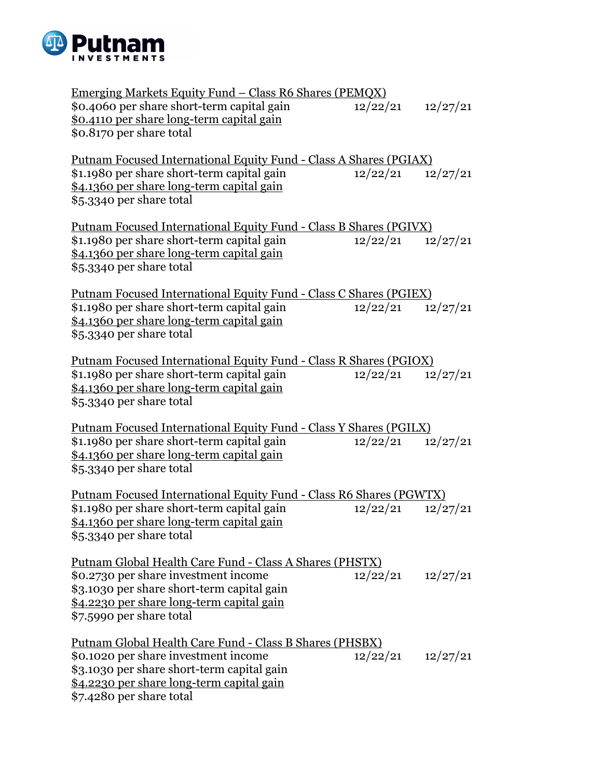

| <u>Emerging Markets Equity Fund – Class R6 Shares (PEMQX)</u>             |                       |          |
|---------------------------------------------------------------------------|-----------------------|----------|
| \$0.4060 per share short-term capital gain                                | 12/22/21              | 12/27/21 |
| \$0.4110 per share long-term capital gain                                 |                       |          |
| \$0.8170 per share total                                                  |                       |          |
|                                                                           |                       |          |
|                                                                           |                       |          |
| <u> Putnam Focused International Equity Fund - Class A Shares (PGIAX)</u> |                       |          |
| \$1.1980 per share short-term capital gain                                | 12/22/21              | 12/27/21 |
| \$4.1360 per share long-term capital gain                                 |                       |          |
| \$5.3340 per share total                                                  |                       |          |
|                                                                           |                       |          |
| <u> Putnam Focused International Equity Fund - Class B Shares (PGIVX)</u> |                       |          |
| \$1.1980 per share short-term capital gain                                | $12/22/21$ $12/27/21$ |          |
| \$4.1360 per share long-term capital gain                                 |                       |          |
| \$5.3340 per share total                                                  |                       |          |
|                                                                           |                       |          |
| Putnam Focused International Equity Fund - Class C Shares (PGIEX)         |                       |          |
| \$1.1980 per share short-term capital gain                                | 12/22/21              | 12/27/21 |
| \$4.1360 per share long-term capital gain                                 |                       |          |
| \$5.3340 per share total                                                  |                       |          |
|                                                                           |                       |          |
| <u> Putnam Focused International Equity Fund - Class R Shares (PGIOX)</u> |                       |          |
| \$1.1980 per share short-term capital gain                                | 12/22/21              | 12/27/21 |
| \$4.1360 per share long-term capital gain                                 |                       |          |
| \$5.3340 per share total                                                  |                       |          |
|                                                                           |                       |          |
| Putnam Focused International Equity Fund - Class Y Shares (PGILX)         |                       |          |
| \$1.1980 per share short-term capital gain                                | $12/22/21$ $12/27/21$ |          |
| \$4.1360 per share long-term capital gain                                 |                       |          |
| \$5.3340 per share total                                                  |                       |          |
|                                                                           |                       |          |
| Putnam Focused International Equity Fund - Class R6 Shares (PGWTX)        |                       |          |
| \$1.1980 per share short-term capital gain                                | 12/22/21              | 12/27/21 |
| \$4.1360 per share long-term capital gain                                 |                       |          |
| \$5.3340 per share total                                                  |                       |          |
|                                                                           |                       |          |
| Putnam Global Health Care Fund - Class A Shares (PHSTX)                   |                       |          |
| \$0.2730 per share investment income                                      | $12/22/21$ $12/27/21$ |          |
| \$3.1030 per share short-term capital gain                                |                       |          |
| \$4.2230 per share long-term capital gain                                 |                       |          |
| \$7.5990 per share total                                                  |                       |          |
|                                                                           |                       |          |
| <u> Putnam Global Health Care Fund - Class B Shares (PHSBX)</u>           |                       |          |
| \$0.1020 per share investment income                                      | $12/22/21$ $12/27/21$ |          |
| \$3.1030 per share short-term capital gain                                |                       |          |
| \$4.2230 per share long-term capital gain                                 |                       |          |
| \$7.4280 per share total                                                  |                       |          |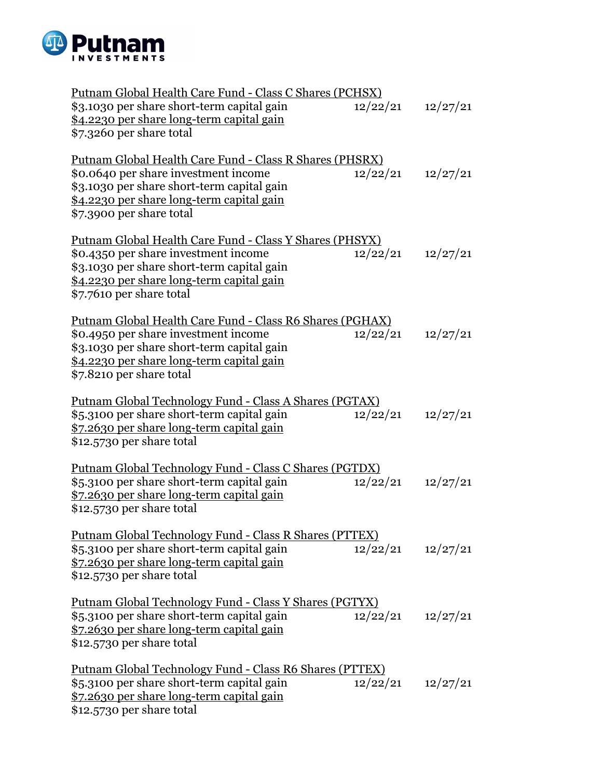

| Putnam Global Health Care Fund - Class C Shares (PCHSX)         |                       |          |
|-----------------------------------------------------------------|-----------------------|----------|
| \$3.1030 per share short-term capital gain                      | 12/22/21              | 12/27/21 |
| \$4.2230 per share long-term capital gain                       |                       |          |
| \$7.3260 per share total                                        |                       |          |
|                                                                 |                       |          |
| Putnam Global Health Care Fund - Class R Shares (PHSRX)         |                       |          |
| \$0.0640 per share investment income                            | 12/22/21              | 12/27/21 |
| \$3.1030 per share short-term capital gain                      |                       |          |
| \$4.2230 per share long-term capital gain                       |                       |          |
| \$7.3900 per share total                                        |                       |          |
|                                                                 |                       |          |
|                                                                 |                       |          |
| Putnam Global Health Care Fund - Class Y Shares (PHSYX)         |                       |          |
| \$0.4350 per share investment income                            | 12/22/21              | 12/27/21 |
| \$3.1030 per share short-term capital gain                      |                       |          |
| \$4.2230 per share long-term capital gain                       |                       |          |
| \$7.7610 per share total                                        |                       |          |
|                                                                 |                       |          |
| Putnam Global Health Care Fund - Class R6 Shares (PGHAX)        |                       |          |
| \$0.4950 per share investment income                            | 12/22/21              | 12/27/21 |
| \$3.1030 per share short-term capital gain                      |                       |          |
| \$4.2230 per share long-term capital gain                       |                       |          |
| \$7.8210 per share total                                        |                       |          |
|                                                                 |                       |          |
| <u> Putnam Global Technology Fund - Class A Shares (PGTAX)</u>  |                       |          |
| \$5.3100 per share short-term capital gain                      | 12/22/21              | 12/27/21 |
| \$7.2630 per share long-term capital gain                       |                       |          |
| \$12.5730 per share total                                       |                       |          |
|                                                                 |                       |          |
| <u> Putnam Global Technology Fund - Class C Shares (PGTDX)</u>  |                       |          |
| \$5.3100 per share short-term capital gain                      | 12/22/21              | 12/27/21 |
| \$7.2630 per share long-term capital gain                       |                       |          |
|                                                                 |                       |          |
| \$12.5730 per share total                                       |                       |          |
|                                                                 |                       |          |
| <u> Putnam Global Technology Fund - Class R Shares (PTTEX)</u>  |                       |          |
| \$5.3100 per share short-term capital gain                      | 12/22/21              | 12/27/21 |
| \$7.2630 per share long-term capital gain                       |                       |          |
| \$12.5730 per share total                                       |                       |          |
|                                                                 |                       |          |
| <u> Putnam Global Technology Fund - Class Y Shares (PGTYX)</u>  |                       |          |
| \$5.3100 per share short-term capital gain                      | $12/22/21$ $12/27/21$ |          |
| \$7.2630 per share long-term capital gain                       |                       |          |
| \$12.5730 per share total                                       |                       |          |
|                                                                 |                       |          |
| <u> Putnam Global Technology Fund - Class R6 Shares (PTTEX)</u> |                       |          |
| \$5.3100 per share short-term capital gain                      | 12/22/21              | 12/27/21 |
| \$7.2630 per share long-term capital gain                       |                       |          |
| \$12.5730 per share total                                       |                       |          |
|                                                                 |                       |          |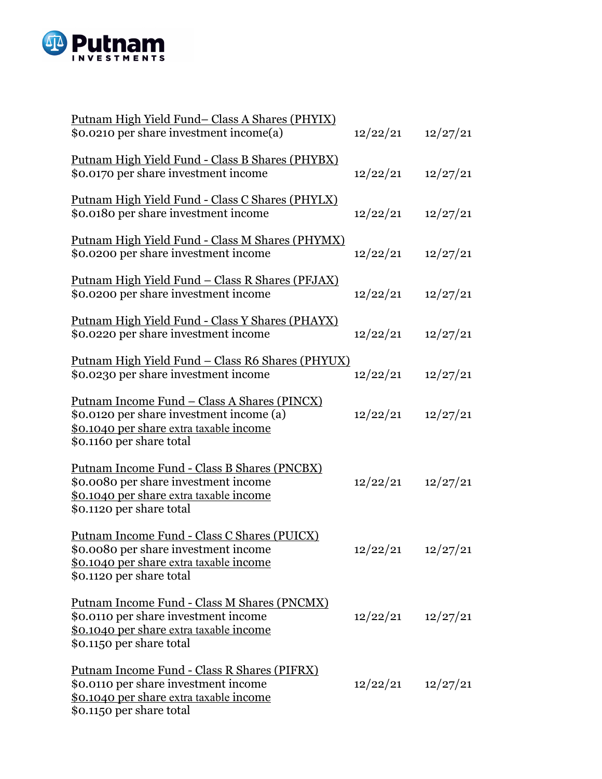

| <u>Putnam High Yield Fund- Class A Shares (PHYIX)</u><br>\$0.0210 per share investment income(a)                                                                       | 12/22/21              | 12/27/21 |
|------------------------------------------------------------------------------------------------------------------------------------------------------------------------|-----------------------|----------|
| Putnam High Yield Fund - Class B Shares (PHYBX)<br>\$0.0170 per share investment income                                                                                | 12/22/21              | 12/27/21 |
| Putnam High Yield Fund - Class C Shares (PHYLX)<br>\$0.0180 per share investment income                                                                                | 12/22/21              | 12/27/21 |
| Putnam High Yield Fund - Class M Shares (PHYMX)<br>\$0.0200 per share investment income                                                                                | 12/22/21              | 12/27/21 |
| <u> Putnam High Yield Fund – Class R Shares (PFJAX)</u><br>\$0.0200 per share investment income                                                                        | 12/22/21              | 12/27/21 |
| Putnam High Yield Fund - Class Y Shares (PHAYX)<br>\$0.0220 per share investment income                                                                                | 12/22/21              | 12/27/21 |
| <u> Putnam High Yield Fund – Class R6 Shares (PHYUX)</u><br>\$0.0230 per share investment income                                                                       | 12/22/21              | 12/27/21 |
| <u> Putnam Income Fund – Class A Shares (PINCX)</u><br>\$0.0120 per share investment income (a)<br>\$0.1040 per share extra taxable income<br>\$0.1160 per share total | 12/22/21              | 12/27/21 |
| Putnam Income Fund - Class B Shares (PNCBX)<br>\$0.0080 per share investment income<br>\$0.1040 per share extra taxable income<br>\$0.1120 per share total             | 12/22/21              | 12/27/21 |
| Putnam Income Fund - Class C Shares (PUICX)<br>\$0.0080 per share investment income<br>\$0.1040 per share extra taxable income<br>\$0.1120 per share total             | $12/22/21$ $12/27/21$ |          |
| Putnam Income Fund - Class M Shares (PNCMX)<br>\$0.0110 per share investment income<br><u>\$0.1040 per share extra taxable income</u><br>\$0.1150 per share total      | 12/22/21              | 12/27/21 |
| Putnam Income Fund - Class R Shares (PIFRX)<br>\$0.0110 per share investment income<br>\$0.1040 per share extra taxable income<br>\$0.1150 per share total             | 12/22/21              | 12/27/21 |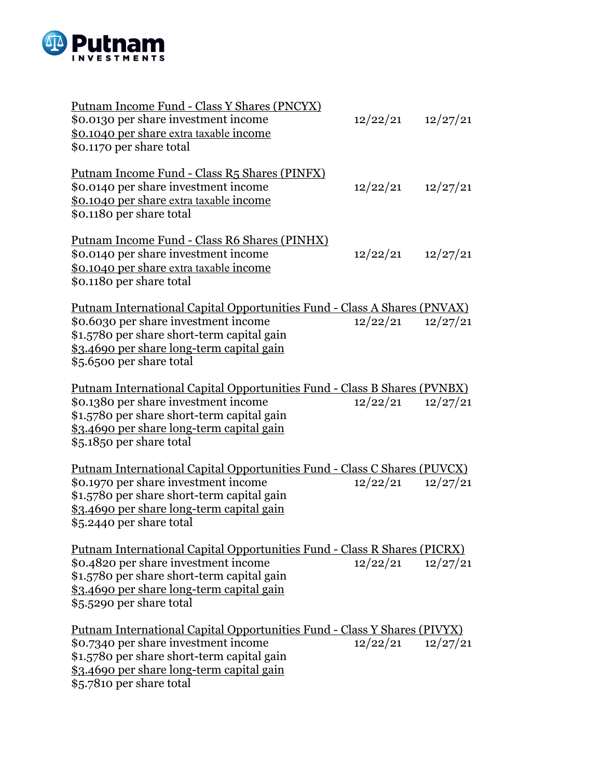

| <u> Putnam Income Fund - Class Y Shares (PNCYX)</u><br>\$0.0130 per share investment income<br>\$0.1040 per share extra taxable income<br>\$0.1170 per share total                                                                              | 12/22/21              | 12/27/21 |
|-------------------------------------------------------------------------------------------------------------------------------------------------------------------------------------------------------------------------------------------------|-----------------------|----------|
| Putnam Income Fund - Class R5 Shares (PINFX)<br>\$0.0140 per share investment income<br>\$0.1040 per share extra taxable income<br>\$0.1180 per share total                                                                                     | 12/22/21              | 12/27/21 |
| Putnam Income Fund - Class R6 Shares (PINHX)<br>\$0.0140 per share investment income<br>\$0.1040 per share extra taxable income<br>\$0.1180 per share total                                                                                     | $12/22/21$ $12/27/21$ |          |
| <u> Putnam International Capital Opportunities Fund - Class A Shares (PNVAX)</u><br>\$0.6030 per share investment income<br>\$1.5780 per share short-term capital gain<br>\$3.4690 per share long-term capital gain<br>\$5.6500 per share total | $12/22/21$ $12/27/21$ |          |
| <u> Putnam International Capital Opportunities Fund - Class B Shares (PVNBX)</u><br>\$0.1380 per share investment income<br>\$1.5780 per share short-term capital gain<br>\$3.4690 per share long-term capital gain<br>\$5.1850 per share total | 12/22/21              | 12/27/21 |
| Putnam International Capital Opportunities Fund - Class C Shares (PUVCX)<br>\$0.1970 per share investment income<br>\$1.5780 per share short-term capital gain<br>\$3.4690 per share long-term capital gain<br>\$5.2440 per share total         | 12/22/21              | 12/27/21 |
| Putnam International Capital Opportunities Fund - Class R Shares (PICRX)<br>\$0.4820 per share investment income<br>\$1.5780 per share short-term capital gain<br>\$3.4690 per share long-term capital gain<br>\$5.5290 per share total         | 12/22/21              | 12/27/21 |
| <u> Putnam International Capital Opportunities Fund - Class Y Shares (PIVYX)</u><br>\$0.7340 per share investment income<br>\$1.5780 per share short-term capital gain<br>\$3.4690 per share long-term capital gain<br>\$5.7810 per share total | 12/22/21              | 12/27/21 |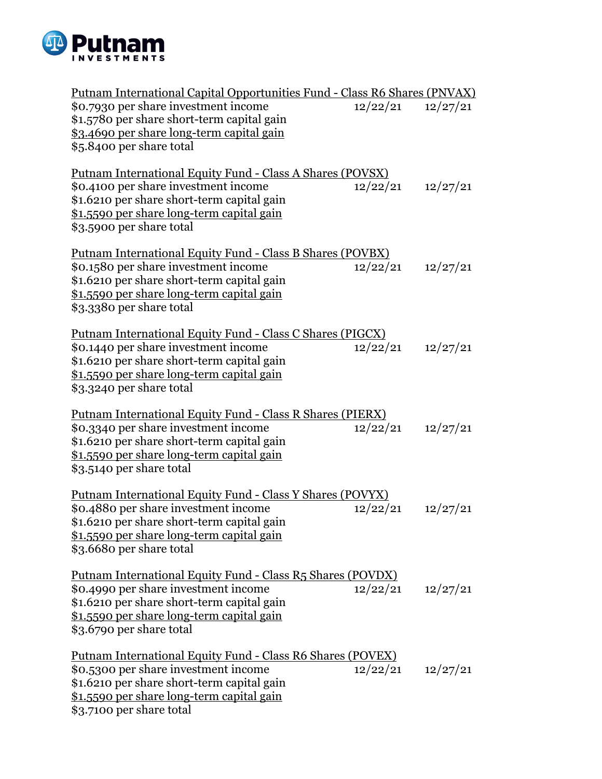

| Putnam International Capital Opportunities Fund - Class R6 Shares (PNVAX) |                       |          |
|---------------------------------------------------------------------------|-----------------------|----------|
| \$0.7930 per share investment income                                      | 12/22/21              | 12/27/21 |
| \$1.5780 per share short-term capital gain                                |                       |          |
| \$3.4690 per share long-term capital gain                                 |                       |          |
| \$5.8400 per share total                                                  |                       |          |
| <u> Putnam International Equity Fund - Class A Shares (POVSX)</u>         |                       |          |
| \$0.4100 per share investment income                                      | 12/22/21              | 12/27/21 |
| \$1.6210 per share short-term capital gain                                |                       |          |
| \$1.5590 per share long-term capital gain                                 |                       |          |
| \$3.5900 per share total                                                  |                       |          |
| <u> Putnam International Equity Fund - Class B Shares (POVBX)</u>         |                       |          |
| \$0.1580 per share investment income                                      | 12/22/21              | 12/27/21 |
| \$1.6210 per share short-term capital gain                                |                       |          |
| \$1.5590 per share long-term capital gain                                 |                       |          |
| \$3.3380 per share total                                                  |                       |          |
| <u> Putnam International Equity Fund - Class C Shares (PIGCX)</u>         |                       |          |
| \$0.1440 per share investment income                                      | $12/22/21$ $12/27/21$ |          |
| \$1.6210 per share short-term capital gain                                |                       |          |
| \$1.5590 per share long-term capital gain                                 |                       |          |
| \$3.3240 per share total                                                  |                       |          |
| Putnam International Equity Fund - Class R Shares (PIERX)                 |                       |          |
| \$0.3340 per share investment income                                      | 12/22/21              | 12/27/21 |
| \$1.6210 per share short-term capital gain                                |                       |          |
| \$1.5590 per share long-term capital gain                                 |                       |          |
| \$3.5140 per share total                                                  |                       |          |
| Putnam International Equity Fund - Class Y Shares (POVYX)                 |                       |          |
| \$0.4880 per share investment income                                      | 12/22/21              | 12/27/21 |
| \$1.6210 per share short-term capital gain                                |                       |          |
| \$1.5590 per share long-term capital gain                                 |                       |          |
| \$3.6680 per share total                                                  |                       |          |
| Putnam International Equity Fund - Class R5 Shares (POVDX)                |                       |          |
| \$0.4990 per share investment income                                      | $12/22/21$ $12/27/21$ |          |
| \$1.6210 per share short-term capital gain                                |                       |          |
| \$1.5590 per share long-term capital gain                                 |                       |          |
| \$3.6790 per share total                                                  |                       |          |
| <u> Putnam International Equity Fund - Class R6 Shares (POVEX)</u>        |                       |          |
| \$0.5300 per share investment income                                      | $12/22/21$ $12/27/21$ |          |
| \$1.6210 per share short-term capital gain                                |                       |          |
| \$1.5590 per share long-term capital gain                                 |                       |          |
| \$3.7100 per share total                                                  |                       |          |